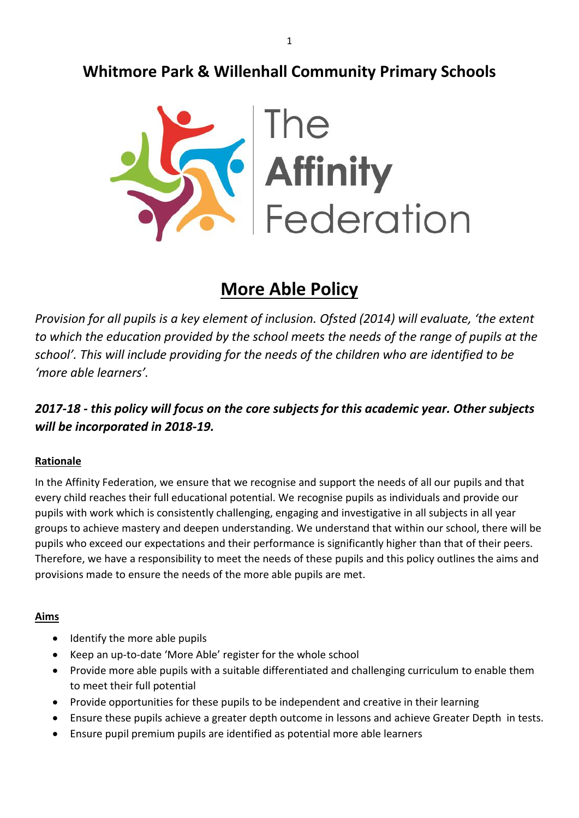## **Whitmore Park & Willenhall Community Primary Schools**



# **More Able Policy**

*Provision for all pupils is a key element of inclusion. Ofsted (2014) will evaluate, 'the extent to which the education provided by the school meets the needs of the range of pupils at the school'. This will include providing for the needs of the children who are identified to be 'more able learners'.*

### *2017-18 - this policy will focus on the core subjects for this academic year. Other subjects will be incorporated in 2018-19.*

#### **Rationale**

In the Affinity Federation, we ensure that we recognise and support the needs of all our pupils and that every child reaches their full educational potential. We recognise pupils as individuals and provide our pupils with work which is consistently challenging, engaging and investigative in all subjects in all year groups to achieve mastery and deepen understanding. We understand that within our school, there will be pupils who exceed our expectations and their performance is significantly higher than that of their peers. Therefore, we have a responsibility to meet the needs of these pupils and this policy outlines the aims and provisions made to ensure the needs of the more able pupils are met.

#### **Aims**

- Identify the more able pupils
- Keep an up-to-date 'More Able' register for the whole school
- Provide more able pupils with a suitable differentiated and challenging curriculum to enable them to meet their full potential
- Provide opportunities for these pupils to be independent and creative in their learning
- Ensure these pupils achieve a greater depth outcome in lessons and achieve Greater Depth in tests.
- Ensure pupil premium pupils are identified as potential more able learners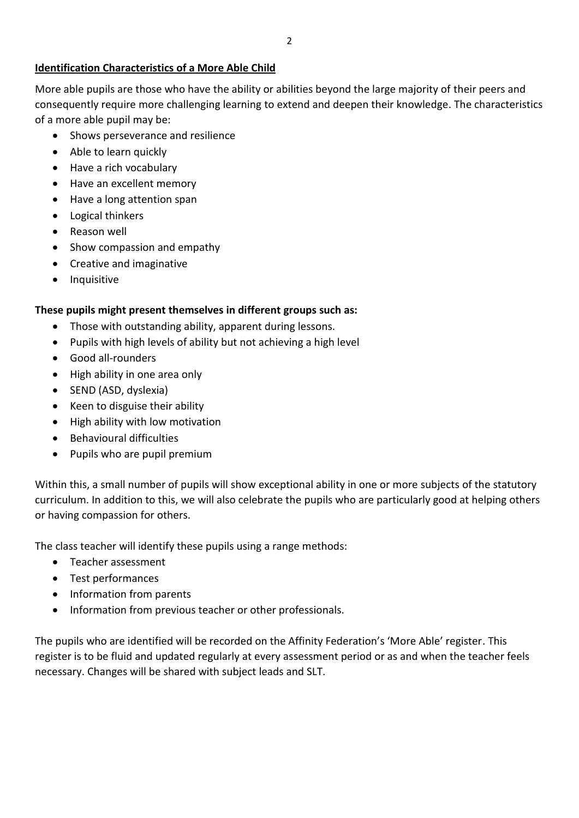#### **Identification Characteristics of a More Able Child**

More able pupils are those who have the ability or abilities beyond the large majority of their peers and consequently require more challenging learning to extend and deepen their knowledge. The characteristics of a more able pupil may be:

- Shows perseverance and resilience
- Able to learn quickly
- Have a rich vocabulary
- Have an excellent memory
- Have a long attention span
- Logical thinkers
- Reason well
- Show compassion and empathy
- Creative and imaginative
- Inquisitive

#### **These pupils might present themselves in different groups such as:**

- Those with outstanding ability, apparent during lessons.
- Pupils with high levels of ability but not achieving a high level
- Good all-rounders
- High ability in one area only
- SEND (ASD, dyslexia)
- Keen to disguise their ability
- $\bullet$  High ability with low motivation
- **•** Behavioural difficulties
- Pupils who are pupil premium

Within this, a small number of pupils will show exceptional ability in one or more subjects of the statutory curriculum. In addition to this, we will also celebrate the pupils who are particularly good at helping others or having compassion for others.

The class teacher will identify these pupils using a range methods:

- Teacher assessment
- Test performances
- Information from parents
- Information from previous teacher or other professionals.

The pupils who are identified will be recorded on the Affinity Federation's 'More Able' register. This register is to be fluid and updated regularly at every assessment period or as and when the teacher feels necessary. Changes will be shared with subject leads and SLT.